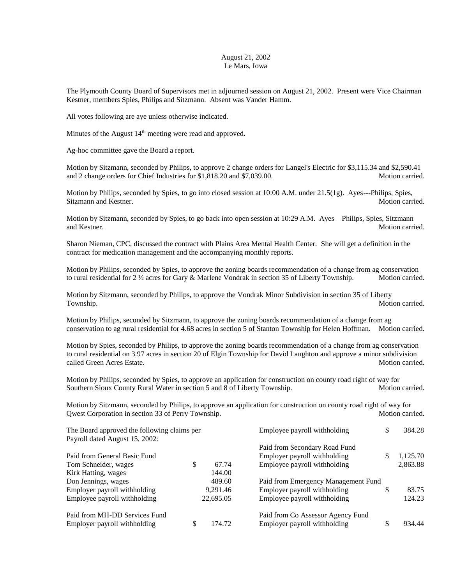## August 21, 2002 Le Mars, Iowa

The Plymouth County Board of Supervisors met in adjourned session on August 21, 2002. Present were Vice Chairman Kestner, members Spies, Philips and Sitzmann. Absent was Vander Hamm.

All votes following are aye unless otherwise indicated.

Minutes of the August 14<sup>th</sup> meeting were read and approved.

Ag-hoc committee gave the Board a report.

Motion by Sitzmann, seconded by Philips, to approve 2 change orders for Langel's Electric for \$3,115.34 and \$2,590.41 and 2 change orders for Chief Industries for \$1,818.20 and \$7,039.00. Motion carried.

Motion by Philips, seconded by Spies, to go into closed session at 10:00 A.M. under 21.5(1g). Ayes---Philips, Spies, Sitzmann and Kestner. Motion carried.

Motion by Sitzmann, seconded by Spies, to go back into open session at 10:29 A.M. Ayes—Philips, Spies, Sitzmann and Kestner. Motion carried.

Sharon Nieman, CPC, discussed the contract with Plains Area Mental Health Center. She will get a definition in the contract for medication management and the accompanying monthly reports.

Motion by Philips, seconded by Spies, to approve the zoning boards recommendation of a change from ag conservation to rural residential for 2 ½ acres for Gary & Marlene Vondrak in section 35 of Liberty Township. Motion carried.

Motion by Sitzmann, seconded by Philips, to approve the Vondrak Minor Subdivision in section 35 of Liberty Township. Motion carried.

Motion by Philips, seconded by Sitzmann, to approve the zoning boards recommendation of a change from ag conservation to ag rural residential for 4.68 acres in section 5 of Stanton Township for Helen Hoffman. Motion carried.

Motion by Spies, seconded by Philips, to approve the zoning boards recommendation of a change from ag conservation to rural residential on 3.97 acres in section 20 of Elgin Township for David Laughton and approve a minor subdivision called Green Acres Estate. The called Green Acres Estate.

Motion by Philips, seconded by Spies, to approve an application for construction on county road right of way for Southern Sioux County Rural Water in section 5 and 8 of Liberty Township. Motion carried.

Motion by Sitzmann, seconded by Philips, to approve an application for construction on county road right of way for Qwest Corporation in section 33 of Perry Township. Motion carried. Motion carried.

| The Board approved the following claims per<br>Payroll dated August 15, 2002: |    |           | Employee payroll withholding        |   | 384.28   |
|-------------------------------------------------------------------------------|----|-----------|-------------------------------------|---|----------|
|                                                                               |    |           | Paid from Secondary Road Fund       |   |          |
| Paid from General Basic Fund                                                  |    |           | Employer payroll withholding        |   | 1,125.70 |
| Tom Schneider, wages                                                          | \$ | 67.74     | Employee payroll withholding        |   | 2,863.88 |
| Kirk Hatting, wages                                                           |    | 144.00    |                                     |   |          |
| Don Jennings, wages                                                           |    | 489.60    | Paid from Emergency Management Fund |   |          |
| Employer payroll withholding                                                  |    | 9.291.46  | Employer payroll withholding        | S | 83.75    |
| Employee payroll withholding                                                  |    | 22,695.05 | Employee payroll withholding        |   | 124.23   |
| Paid from MH-DD Services Fund                                                 |    |           | Paid from Co Assessor Agency Fund   |   |          |
| Employer payroll withholding                                                  |    | 174.72    | Employer payroll withholding        |   | 934.44   |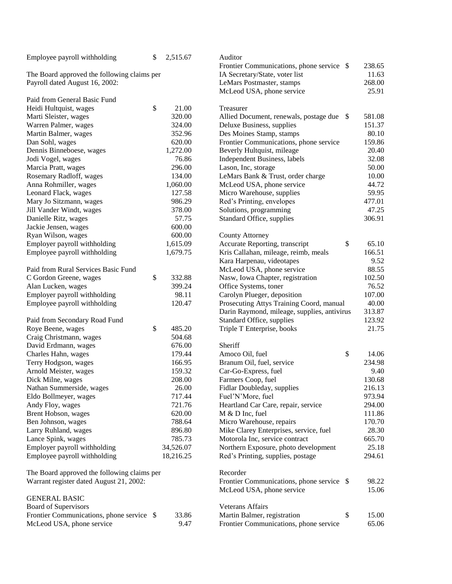| Employee payroll withholding                | \$ | 2,515.67                       | Auditor                                     |       |        |
|---------------------------------------------|----|--------------------------------|---------------------------------------------|-------|--------|
|                                             |    |                                | Frontier Communications, phone service \$   |       | 238.65 |
| The Board approved the following claims per |    | IA Secretary/State, voter list |                                             | 11.63 |        |
| Payroll dated August 16, 2002:              |    |                                | LeMars Postmaster, stamps                   |       | 268.00 |
|                                             |    |                                | McLeod USA, phone service                   |       | 25.91  |
| Paid from General Basic Fund                |    |                                |                                             |       |        |
| Heidi Hultquist, wages                      | \$ | 21.00                          | Treasurer                                   |       |        |
| Marti Sleister, wages                       |    | 320.00                         | Allied Document, renewals, postage due      | - \$  | 581.08 |
| Warren Palmer, wages                        |    | 324.00                         | Deluxe Business, supplies                   |       | 151.37 |
| Martin Balmer, wages                        |    | 352.96                         | Des Moines Stamp, stamps                    |       | 80.10  |
| Dan Sohl, wages                             |    | 620.00                         | Frontier Communications, phone service      |       | 159.86 |
| Dennis Binneboese, wages                    |    | 1,272.00                       | Beverly Hultquist, mileage                  |       | 20.40  |
| Jodi Vogel, wages                           |    | 76.86                          | Independent Business, labels                |       | 32.08  |
| Marcia Pratt, wages                         |    | 296.00                         | Lason, Inc, storage                         |       | 50.00  |
| Rosemary Radloff, wages                     |    | 134.00                         | LeMars Bank & Trust, order charge           |       | 10.00  |
| Anna Rohmiller, wages                       |    | 1,060.00                       | McLeod USA, phone service                   |       | 44.72  |
| Leonard Flack, wages                        |    | 127.58                         | Micro Warehouse, supplies                   |       | 59.95  |
| Mary Jo Sitzmann, wages                     |    | 986.29                         | Red's Printing, envelopes                   |       | 477.01 |
| Jill Vander Windt, wages                    |    | 378.00                         | Solutions, programming                      |       | 47.25  |
| Danielle Ritz, wages                        |    | 57.75                          | Standard Office, supplies                   |       | 306.91 |
| Jackie Jensen, wages                        |    | 600.00                         |                                             |       |        |
| Ryan Wilson, wages                          |    | 600.00                         | <b>County Attorney</b>                      |       |        |
| Employer payroll withholding                |    | 1,615.09                       | Accurate Reporting, transcript              | \$    | 65.10  |
| Employee payroll withholding                |    | 1,679.75                       | Kris Callahan, mileage, reimb, meals        |       | 166.51 |
|                                             |    |                                | Kara Harpenau, videotapes                   |       | 9.52   |
| Paid from Rural Services Basic Fund         |    |                                | McLeod USA, phone service                   |       | 88.55  |
| C Gordon Greene, wages                      | \$ | 332.88                         | Nasw, Iowa Chapter, registration            |       | 102.50 |
| Alan Lucken, wages                          |    | 399.24                         | Office Systems, toner                       |       | 76.52  |
| Employer payroll withholding                |    | 98.11                          | Carolyn Plueger, deposition                 |       | 107.00 |
| Employee payroll withholding                |    | 120.47                         | Prosecuting Attys Training Coord, manual    |       | 40.00  |
|                                             |    |                                | Darin Raymond, mileage, supplies, antivirus |       | 313.87 |
| Paid from Secondary Road Fund               |    |                                | Standard Office, supplies                   |       | 123.92 |
| Roye Beene, wages                           | \$ | 485.20                         | Triple T Enterprise, books                  |       | 21.75  |
| Craig Christmann, wages                     |    | 504.68                         |                                             |       |        |
| David Erdmann, wages                        |    | 676.00                         | Sheriff                                     |       |        |
| Charles Hahn, wages                         |    | 179.44                         | Amoco Oil, fuel                             | \$    | 14.06  |
| Terry Hodgson, wages                        |    | 166.95                         | Branum Oil, fuel, service                   |       | 234.98 |
| Arnold Meister, wages                       |    | 159.32                         | Car-Go-Express, fuel                        |       | 9.40   |
| Dick Milne, wages                           |    | 208.00                         | Farmers Coop, fuel                          |       | 130.68 |
| Nathan Summerside, wages                    |    | 26.00                          | Fidlar Doubleday, supplies                  |       | 216.13 |
| Eldo Bollmeyer, wages                       |    | 717.44                         | Fuel'N'More, fuel                           |       | 973.94 |
| Andy Floy, wages                            |    | 721.76                         | Heartland Car Care, repair, service         |       | 294.00 |
| Brent Hobson, wages                         |    | 620.00                         | M & D Inc, fuel                             |       | 111.86 |
| Ben Johnson, wages                          |    | 788.64                         | Micro Warehouse, repairs                    |       | 170.70 |
| Larry Ruhland, wages                        |    | 896.80                         | Mike Clarey Enterprises, service, fuel      |       | 28.30  |
| Lance Spink, wages                          |    | 785.73                         | Motorola Inc, service contract              |       | 665.70 |
| Employer payroll withholding                |    | 34,526.07                      | Northern Exposure, photo development        |       | 25.18  |
| Employee payroll withholding                |    | 18,216.25                      | Red's Printing, supplies, postage           |       | 294.61 |
| The Board approved the following claims per |    |                                | Recorder                                    |       |        |
| Warrant register dated August 21, 2002:     |    |                                | Frontier Communications, phone service \$   |       | 98.22  |
|                                             |    |                                | McLeod USA, phone service                   |       | 15.06  |
| <b>GENERAL BASIC</b>                        |    |                                |                                             |       |        |
| Board of Supervisors                        |    |                                | Veterans Affairs                            |       |        |
| Frontier Communications, phone service \$   |    | 33.86                          | Martin Balmer, registration                 | \$    | 15.00  |
| McLeod USA, phone service                   |    | 9.47                           | Frontier Communications, phone service      |       | 65.06  |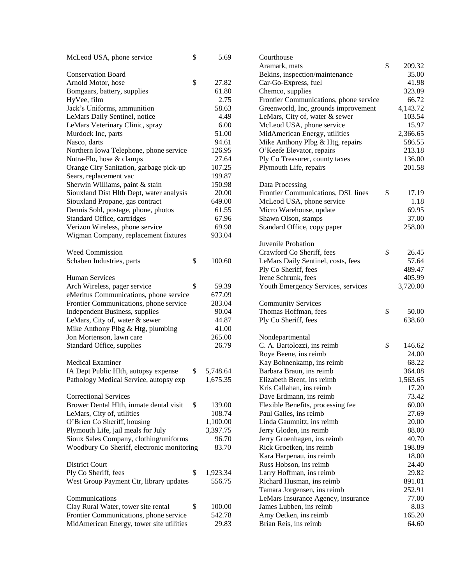| McLeod USA, phone service                  | \$<br>5.69     | Courthouse                             |              |
|--------------------------------------------|----------------|----------------------------------------|--------------|
|                                            |                | Aramark, mats                          | \$<br>209.32 |
| <b>Conservation Board</b>                  |                | Bekins, inspection/maintenance         | 35.00        |
| Arnold Motor, hose                         | \$<br>27.82    | Car-Go-Express, fuel                   | 41.98        |
| Bomgaars, battery, supplies                | 61.80          | Chemco, supplies                       | 323.89       |
| HyVee, film                                | 2.75           | Frontier Communications, phone service | 66.72        |
| Jack's Uniforms, ammunition                | 58.63          | Greenworld, Inc, grounds improvement   | 4,143.72     |
| LeMars Daily Sentinel, notice              | 4.49           | LeMars, City of, water & sewer         | 103.54       |
| LeMars Veterinary Clinic, spray            | 6.00           | McLeod USA, phone service              | 15.97        |
| Murdock Inc, parts                         | 51.00          | MidAmerican Energy, utilities          | 2,366.65     |
| Nasco, darts                               | 94.61          | Mike Anthony Plbg & Htg, repairs       | 586.55       |
| Northern Iowa Telephone, phone service     | 126.95         | O'Keefe Elevator, repairs              | 213.18       |
| Nutra-Flo, hose & clamps                   | 27.64          | Ply Co Treasurer, county taxes         | 136.00       |
| Orange City Sanitation, garbage pick-up    | 107.25         | Plymouth Life, repairs                 | 201.58       |
| Sears, replacement vac                     | 199.87         |                                        |              |
| Sherwin Williams, paint & stain            | 150.98         | Data Processing                        |              |
| Siouxland Dist Hlth Dept, water analysis   | 20.00          | Frontier Communications, DSL lines     | \$<br>17.19  |
| Siouxland Propane, gas contract            | 649.00         | McLeod USA, phone service              | 1.18         |
| Dennis Sohl, postage, phone, photos        | 61.55          | Micro Warehouse, update                | 69.95        |
| Standard Office, cartridges                | 67.96          | Shawn Olson, stamps                    | 37.00        |
| Verizon Wireless, phone service            | 69.98          | Standard Office, copy paper            | 258.00       |
| Wigman Company, replacement fixtures       | 933.04         |                                        |              |
|                                            |                | Juvenile Probation                     |              |
| Weed Commission                            |                | Crawford Co Sheriff, fees              | \$<br>26.45  |
| Schaben Industries, parts                  | \$<br>100.60   | LeMars Daily Sentinel, costs, fees     | 57.64        |
|                                            |                | Ply Co Sheriff, fees                   | 489.47       |
| <b>Human Services</b>                      |                | Irene Schrunk, fees                    | 405.99       |
| Arch Wireless, pager service               | \$<br>59.39    | Youth Emergency Services, services     | 3,720.00     |
| eMeritus Communications, phone service     | 677.09         |                                        |              |
| Frontier Communications, phone service     | 283.04         | <b>Community Services</b>              |              |
| Independent Business, supplies             | 90.04          | Thomas Hoffman, fees                   | \$<br>50.00  |
| LeMars, City of, water & sewer             | 44.87          | Ply Co Sheriff, fees                   | 638.60       |
| Mike Anthony Plbg & Htg, plumbing          | 41.00          |                                        |              |
| Jon Mortenson, lawn care                   | 265.00         | Nondepartmental                        |              |
| Standard Office, supplies                  | 26.79          | C. A. Bartolozzi, ins reimb            | \$<br>146.62 |
|                                            |                | Roye Beene, ins reimb                  | 24.00        |
| <b>Medical Examiner</b>                    |                | Kay Bohnenkamp, ins reimb              | 68.22        |
| IA Dept Public Hlth, autopsy expense       | \$<br>5,748.64 | Barbara Braun, ins reimb               | 364.08       |
| Pathology Medical Service, autopsy exp     | 1,675.35       | Elizabeth Brent, ins reimb             | 1,563.65     |
|                                            |                | Kris Callahan, ins reimb               | 17.20        |
| <b>Correctional Services</b>               |                | Dave Erdmann, ins reimb                | 73.42        |
| Brower Dental Hlth, inmate dental visit    | \$<br>139.00   | Flexible Benefits, processing fee      | 60.00        |
| LeMars, City of, utilities                 | 108.74         | Paul Galles, ins reimb                 | 27.69        |
| O'Brien Co Sheriff, housing                | 1,100.00       | Linda Gaumnitz, ins reimb              | 20.00        |
| Plymouth Life, jail meals for July         | 3,397.75       | Jerry Gloden, ins reimb                | 88.00        |
| Sioux Sales Company, clothing/uniforms     | 96.70          | Jerry Groenhagen, ins reimb            | 40.70        |
| Woodbury Co Sheriff, electronic monitoring | 83.70          | Rick Groetken, ins reimb               | 198.89       |
|                                            |                | Kara Harpenau, ins reimb               | 18.00        |
| <b>District Court</b>                      |                | Russ Hobson, ins reimb                 | 24.40        |
| Ply Co Sheriff, fees                       | \$<br>1,923.34 | Larry Hoffman, ins reimb               | 29.82        |
| West Group Payment Ctr, library updates    | 556.75         | Richard Husman, ins reimb              | 891.01       |
|                                            |                | Tamara Jorgensen, ins reimb            | 252.91       |
| Communications                             |                | LeMars Insurance Agency, insurance     | 77.00        |
| Clay Rural Water, tower site rental        | \$<br>100.00   | James Lubben, ins reimb                | 8.03         |
| Frontier Communications, phone service     | 542.78         | Amy Oetken, ins reimb                  | 165.20       |
| MidAmerican Energy, tower site utilities   | 29.83          | Brian Reis, ins reimb                  | 64.60        |
|                                            |                |                                        |              |